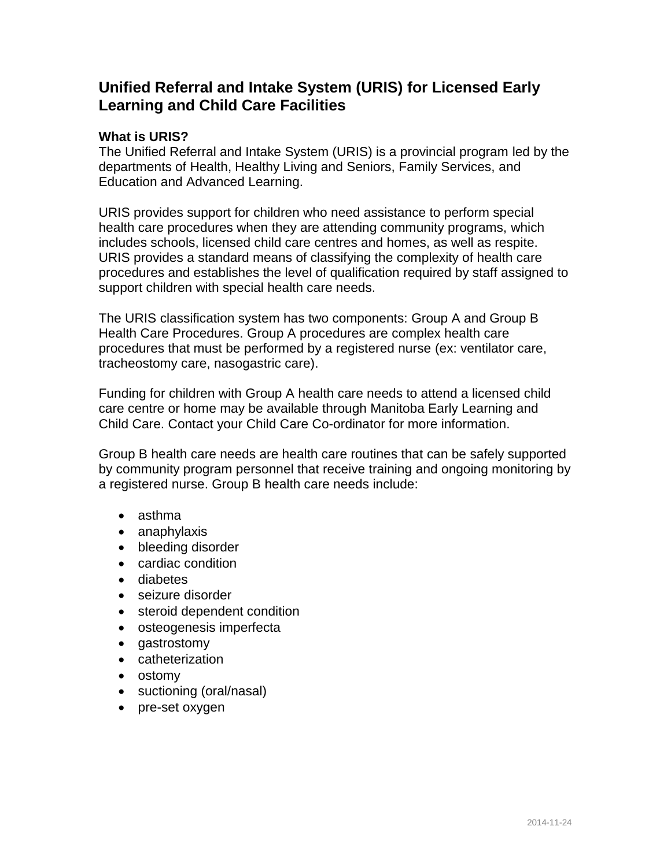# **Unified Referral and Intake System (URIS) for Licensed Early Learning and Child Care Facilities**

# **What is URIS?**

The Unified Referral and Intake System (URIS) is a provincial program led by the departments of Health, Healthy Living and Seniors, Family Services, and Education and Advanced Learning.

URIS provides support for children who need assistance to perform special health care procedures when they are attending community programs, which includes schools, licensed child care centres and homes, as well as respite. URIS provides a standard means of classifying the complexity of health care procedures and establishes the level of qualification required by staff assigned to support children with special health care needs.

The URIS classification system has two components: Group A and Group B Health Care Procedures. Group A procedures are complex health care procedures that must be performed by a registered nurse (ex: ventilator care, tracheostomy care, nasogastric care).

Funding for children with Group A health care needs to attend a licensed child care centre or home may be available through Manitoba Early Learning and Child Care. Contact your Child Care Co-ordinator for more information.

Group B health care needs are health care routines that can be safely supported by community program personnel that receive training and ongoing monitoring by a registered nurse. Group B health care needs include:

- asthma
- anaphylaxis
- bleeding disorder
- cardiac condition
- diabetes
- seizure disorder
- steroid dependent condition
- osteogenesis imperfecta
- gastrostomy
- catheterization
- ostomy
- suctioning (oral/nasal)
- pre-set oxygen